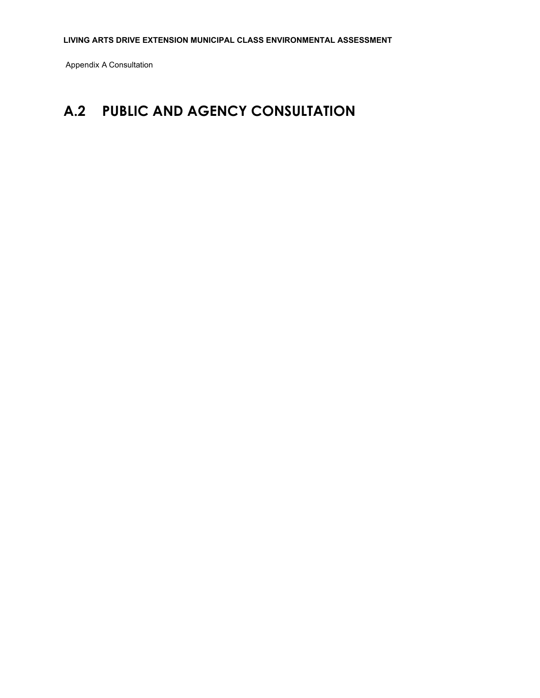Appendix A Consultation

# **A.2 PUBLIC AND AGENCY CONSULTATION**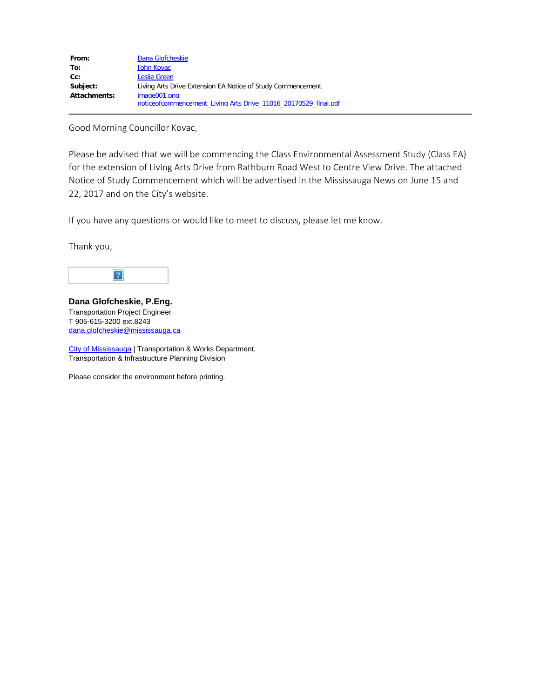| From:        | Dana Glofcheskie                                                |
|--------------|-----------------------------------------------------------------|
| To:          | John Kovac                                                      |
| $Cc$ :       | Leslie Green                                                    |
| Subject:     | Living Arts Drive Extension EA Notice of Study Commencement     |
| Attachments: | image001.png                                                    |
|              | noticeofcommencement Living Arts Drive 11016 20170529 final.pdf |

Good Morning Councillor Kovac,

Please be advised that we will be commencing the Class Environmental Assessment Study (Class EA) for the extension of Living Arts Drive from Rathburn Road West to Centre View Drive. The attached Notice of Study Commencement which will be advertised in the Mississauga News on June 15 and 22, 2017 and on the City's website.

If you have any questions or would like to meet to discuss, please let me know.

Thank you,



**Dana Glofcheskie, P.Eng.** Transportation Project Engineer T 905-615-3200 ext.8243 [dana.glofcheskie@mississauga.ca](mailto:dana.glofcheskie@mississauga.ca)

[City of Mississauga](http://www.mississauga.ca/) | Transportation & Works Department, Transportation & Infrastructure Planning Division

Please consider the environment before printing.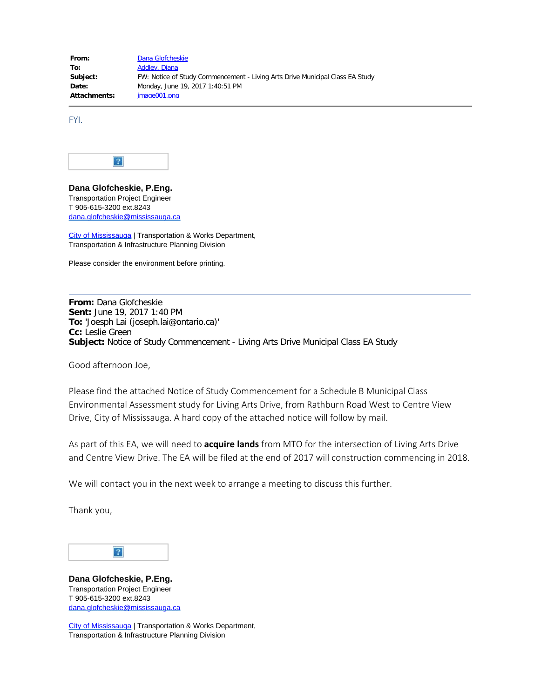From: [Dana Glofcheskie](mailto:Dana.Glofcheskie@mississauga.ca) To: [Addley, Diana](mailto:Diana.Addley@stantec.com) **Subject:** FW: Notice of Study Commencement - Living Arts Drive Municipal Class EA Study **Date:** Monday, June 19, 2017 1:40:51 PM **Attachments:** image001.png

FYI.



**Dana Glofcheskie, P.Eng.** Transportation Project Engineer T 905-615-3200 ext.8243 [dana.glofcheskie@mississauga.ca](mailto:dana.glofcheskie@mississauga.ca)

[City of Mississauga](http://www.mississauga.ca/) | Transportation & Works Department, Transportation & Infrastructure Planning Division

Please consider the environment before printing.

**From:** Dana Glofcheskie **Sent:** June 19, 2017 1:40 PM **To:** 'Joesph Lai (joseph.lai@ontario.ca)' **Cc:** Leslie Green **Subject:** Notice of Study Commencement - Living Arts Drive Municipal Class EA Study

Good afternoon Joe,

Please find the attached Notice of Study Commencement for a Schedule B Municipal Class Environmental Assessment study for Living Arts Drive, from Rathburn Road West to Centre View Drive, City of Mississauga. A hard copy of the attached notice will follow by mail.

As part of this EA, we will need to **acquire lands** from MTO for the intersection of Living Arts Drive and Centre View Drive. The EA will be filed at the end of 2017 will construction commencing in 2018.

We will contact you in the next week to arrange a meeting to discuss this further.

Thank you,



**Dana Glofcheskie, P.Eng.** Transportation Project Engineer T 905-615-3200 ext.8243 [dana.glofcheskie@mississauga.ca](mailto:dana.glofcheskie@mississauga.ca)

[City of Mississauga](http://www.mississauga.ca/) | Transportation & Works Department, Transportation & Infrastructure Planning Division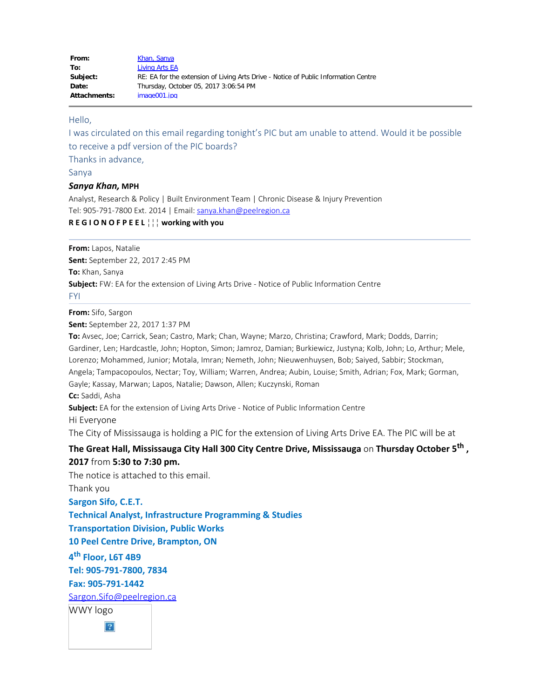| From:        | Khan, Sanya                                                                         |
|--------------|-------------------------------------------------------------------------------------|
| To:          | Living Arts EA                                                                      |
| Subject:     | RE: EA for the extension of Living Arts Drive - Notice of Public Information Centre |
| Date:        | Thursday, October 05, 2017 3:06:54 PM                                               |
| Attachments: | image001.jpg                                                                        |

### Hello,

I was circulated on this email regarding tonight's PIC but am unable to attend. Would it be possible to receive a pdf version of the PIC boards?

Thanks in advance,

Sanya

#### *Sanya Khan,* **MPH**

Analyst, Research & Policy | Built Environment Team | Chronic Disease & Injury Prevention Tel: 905-791-7800 Ext. 2014 | Email: [sanya.khan@peelregion.ca](mailto:sanya.khan@peelregion.ca)

## **R E G I O N O F P E E L** ■■■ **working with you**

**From:** Lapos, Natalie

**Sent:** September 22, 2017 2:45 PM

**To:** Khan, Sanya

**Subject:** FW: EA for the extension of Living Arts Drive - Notice of Public Information Centre

FYI

**From:** Sifo, Sargon

**Sent:** September 22, 2017 1:37 PM

**To:** Avsec, Joe; Carrick, Sean; Castro, Mark; Chan, Wayne; Marzo, Christina; Crawford, Mark; Dodds, Darrin; Gardiner, Len; Hardcastle, John; Hopton, Simon; Jamroz, Damian; Burkiewicz, Justyna; Kolb, John; Lo, Arthur; Mele, Lorenzo; Mohammed, Junior; Motala, Imran; Nemeth, John; Nieuwenhuysen, Bob; Saiyed, Sabbir; Stockman, Angela; Tampacopoulos, Nectar; Toy, William; Warren, Andrea; Aubin, Louise; Smith, Adrian; Fox, Mark; Gorman, Gayle; Kassay, Marwan; Lapos, Natalie; Dawson, Allen; Kuczynski, Roman **Cc:** Saddi, Asha

**Subject:** EA for the extension of Living Arts Drive - Notice of Public Information Centre

Hi Everyone

The City of Mississauga is holding a PIC for the extension of Living Arts Drive EA. The PIC will be at

# **The Great Hall, Mississauga City Hall 300 City Centre Drive, Mississauga** on **Thursday October 5th , 2017** from **5:30 to 7:30 pm.**

The notice is attached to this email.

Thank you

**Sargon Sifo, C.E.T.**

**Technical Analyst, Infrastructure Programming & Studies**

**Transportation Division, Public Works**

**10 Peel Centre Drive, Brampton, ON**

**4th Floor, L6T 4B9**

**Tel: 905-791-7800, 7834**

**Fax: 905-791-1442**

[Sargon.Sifo@peelregion.ca](mailto:Sargon.Sifo@peelregion.ca)

WWY logo

 $\vert$  ?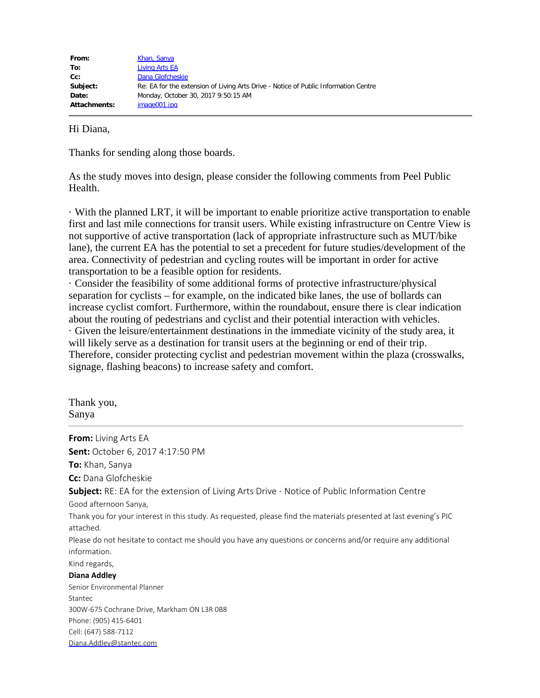| From:        | Khan, Sanya                                                                         |
|--------------|-------------------------------------------------------------------------------------|
| To:          | Living Arts EA                                                                      |
| $Cc$ :       | Dana Glofcheskie                                                                    |
| Subject:     | Re: EA for the extension of Living Arts Drive - Notice of Public Information Centre |
| Date:        | Monday, October 30, 2017 9:50:15 AM                                                 |
| Attachments: | image001.jpg                                                                        |
|              |                                                                                     |

# Hi Diana,

Thanks for sending along those boards.

As the study moves into design, please consider the following comments from Peel Public Health.

· With the planned LRT, it will be important to enable prioritize active transportation to enable first and last mile connections for transit users. While existing infrastructure on Centre View is not supportive of active transportation (lack of appropriate infrastructure such as MUT/bike lane), the current EA has the potential to set a precedent for future studies/development of the area. Connectivity of pedestrian and cycling routes will be important in order for active transportation to be a feasible option for residents.

· Consider the feasibility of some additional forms of protective infrastructure/physical separation for cyclists – for example, on the indicated bike lanes, the use of bollards can increase cyclist comfort. Furthermore, within the roundabout, ensure there is clear indication about the routing of pedestrians and cyclist and their potential interaction with vehicles. · Given the leisure/entertainment destinations in the immediate vicinity of the study area, it will likely serve as a destination for transit users at the beginning or end of their trip. Therefore, consider protecting cyclist and pedestrian movement within the plaza (crosswalks, signage, flashing beacons) to increase safety and comfort.

Thank you, Sanya

**From:** Living Arts EA **Sent:** October 6, 2017 4:17:50 PM **To:** Khan, Sanya **Cc:** Dana Glofcheskie **Subject:** RE: EA for the extension of Living Arts Drive - Notice of Public Information Centre Good afternoon Sanya, Thank you for your interest in this study. As requested, please find the materials presented at last evening's PIC attached. Please do not hesitate to contact me should you have any questions or concerns and/or require any additional information. Kind regards, **Diana Addley** Senior Environmental Planner Stantec 300W-675 Cochrane Drive, Markham ON L3R 0B8 Phone: (905) 415-6401 Cell: (647) 588-7112 [Diana.Addley@stantec.com](mailto:Diana.Addley@stantec.com)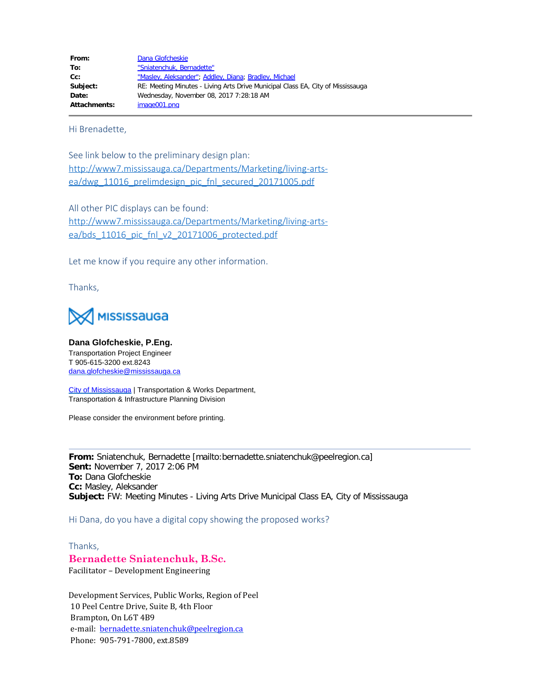| Dana Glofcheskie                                                                |
|---------------------------------------------------------------------------------|
| "Sniatenchuk, Bernadette"                                                       |
| "Masley, Aleksander"; Addley, Diana; Bradley, Michael                           |
| RE: Meeting Minutes - Living Arts Drive Municipal Class EA, City of Mississauga |
| Wednesday, November 08, 2017 7:28:18 AM                                         |
| image001.png                                                                    |
|                                                                                 |

Hi Brenadette,

See link below to the preliminary design plan: [http://www7.mississauga.ca/Departments/Marketing/living-arts](http://www7.mississauga.ca/Departments/Marketing/living-arts-ea/dwg_11016_prelimdesign_pic_fnl_secured_20171005.pdf)[ea/dwg\\_11016\\_prelimdesign\\_pic\\_fnl\\_secured\\_20171005.pdf](http://www7.mississauga.ca/Departments/Marketing/living-arts-ea/dwg_11016_prelimdesign_pic_fnl_secured_20171005.pdf)

All other PIC displays can be found: [http://www7.mississauga.ca/Departments/Marketing/living-arts](http://www7.mississauga.ca/Departments/Marketing/living-arts-ea/bds_11016_pic_fnl_v2_20171006_protected.pdf)[ea/bds\\_11016\\_pic\\_fnl\\_v2\\_20171006\\_protected.pdf](http://www7.mississauga.ca/Departments/Marketing/living-arts-ea/bds_11016_pic_fnl_v2_20171006_protected.pdf)

Let me know if you require any other information.

Thanks,



**Dana Glofcheskie, P.Eng.** Transportation Project Engineer T 905-615-3200 ext.8243 [dana.glofcheskie@mississauga.ca](mailto:dana.glofcheskie@mississauga.ca)

[City of Mississauga](http://www.mississauga.ca/) | Transportation & Works Department, Transportation & Infrastructure Planning Division

Please consider the environment before printing.

**From:** Sniatenchuk, Bernadette [mailto:bernadette.sniatenchuk@peelregion.ca] **Sent:** November 7, 2017 2:06 PM **To:** Dana Glofcheskie **Cc:** Masley, Aleksander **Subject:** FW: Meeting Minutes - Living Arts Drive Municipal Class EA, City of Mississauga

Hi Dana, do you have a digital copy showing the proposed works?

Thanks,

# **Bernadette Sniatenchuk, B.Sc.**

Facilitator – Development Engineering

Development Services, Public Works, Region of Peel 10 Peel Centre Drive, Suite B, 4th Floor Brampton, On L6T 4B9 e-mail: [bernadette.sniatenchuk@peelregion.ca](mailto:bernadette.sniatenchuk@peelregion.ca) Phone: 905-791-7800, ext.8589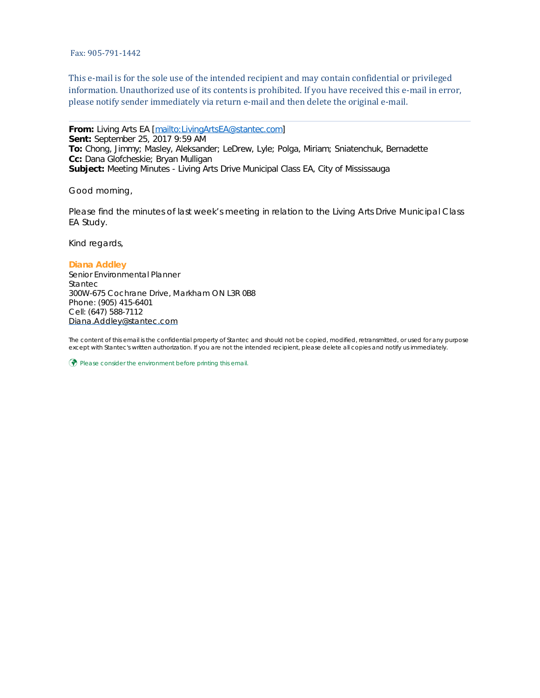Fax: 905-791-1442

This e-mail is for the sole use of the intended recipient and may contain confidential or privileged information. Unauthorized use of its contents is prohibited. If you have received this e-mail in error, please notify sender immediately via return e-mail and then delete the original e-mail.

**From:** Living Arts EA [<mailto:LivingArtsEA@stantec.com>] **Sent:** September 25, 2017 9:59 AM **To:** Chong, Jimmy; Masley, Aleksander; LeDrew, Lyle; Polga, Miriam; Sniatenchuk, Bernadette **Cc:** Dana Glofcheskie; Bryan Mulligan **Subject:** Meeting Minutes - Living Arts Drive Municipal Class EA, City of Mississauga

Good morning,

Please find the minutes of last week's meeting in relation to the Living Arts Drive Municipal Class EA Study.

Kind regards,

#### **Diana Addley**

Senior Environmental Planner Stantec 300W-675 Cochrane Drive, Markham ON L3R 0B8 Phone: (905) 415-6401 Cell: (647) 588-7112 [Diana.Addley@stantec.com](mailto:Diana.Addley@stantec.com)

The content of this email is the confidential property of Stantec and should not be copied, modified, retransmitted, or used for any purpose except with Stantec's written authorization. If you are not the intended recipient, please delete all copies and notify us immediately.

 $\circled{?}$  Please consider the environment before printing this email.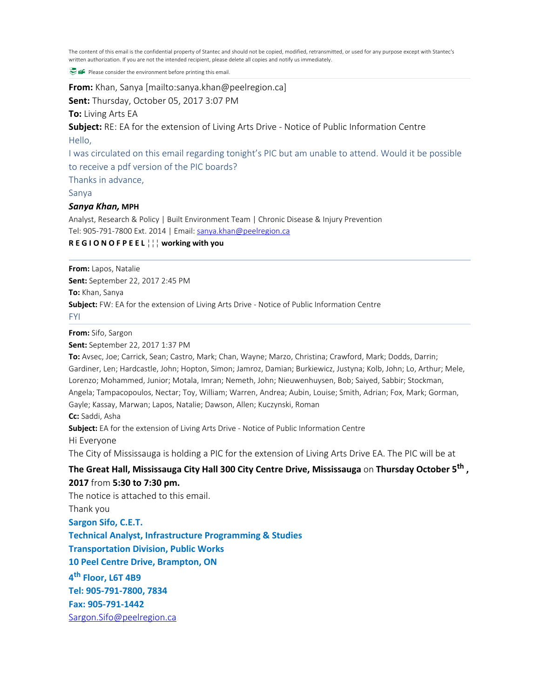The content of this email is the confidential property of Stantec and should not be copied, modified, retransmitted, or used for any purpose except with Stantec's written authorization. If you are not the intended recipient, please delete all copies and notify us immediately.

P **P** Please consider the environment before printing this email.

**From:** Khan, Sanya [mailto:sanya.khan@peelregion.ca]

**Sent:** Thursday, October 05, 2017 3:07 PM

#### **To:** Living Arts EA

**Subject:** RE: EA for the extension of Living Arts Drive - Notice of Public Information Centre Hello,

I was circulated on this email regarding tonight's PIC but am unable to attend. Would it be possible to receive a pdf version of the PIC boards?

Thanks in advance,

## Sanya

### *Sanya Khan,* **MPH**

Analyst, Research & Policy | Built Environment Team | Chronic Disease & Injury Prevention Tel: 905-791-7800 Ext. 2014 | Email: [sanya.khan@peelregion.ca](mailto:sanya.khan@peelregion.ca)

**R E G I O N O F P E E L** ■■■ **working with you**

**From:** Lapos, Natalie

**Sent:** September 22, 2017 2:45 PM

**To:** Khan, Sanya

**Subject:** FW: EA for the extension of Living Arts Drive - Notice of Public Information Centre

FYI

**From:** Sifo, Sargon

**Sent:** September 22, 2017 1:37 PM

**To:** Avsec, Joe; Carrick, Sean; Castro, Mark; Chan, Wayne; Marzo, Christina; Crawford, Mark; Dodds, Darrin; Gardiner, Len; Hardcastle, John; Hopton, Simon; Jamroz, Damian; Burkiewicz, Justyna; Kolb, John; Lo, Arthur; Mele, Lorenzo; Mohammed, Junior; Motala, Imran; Nemeth, John; Nieuwenhuysen, Bob; Saiyed, Sabbir; Stockman, Angela; Tampacopoulos, Nectar; Toy, William; Warren, Andrea; Aubin, Louise; Smith, Adrian; Fox, Mark; Gorman, Gayle; Kassay, Marwan; Lapos, Natalie; Dawson, Allen; Kuczynski, Roman **Cc:** Saddi, Asha **Subject:** EA for the extension of Living Arts Drive - Notice of Public Information Centre Hi Everyone The City of Mississauga is holding a PIC for the extension of Living Arts Drive EA. The PIC will be at **The Great Hall, Mississauga City Hall 300 City Centre Drive, Mississauga** on **Thursday October 5th , 2017** from **5:30 to 7:30 pm.** The notice is attached to this email. Thank you **Sargon Sifo, C.E.T. Technical Analyst, Infrastructure Programming & Studies**

**Transportation Division, Public Works**

**10 Peel Centre Drive, Brampton, ON**

**4th Floor, L6T 4B9**

**Tel: 905-791-7800, 7834**

**Fax: 905-791-1442**

[Sargon.Sifo@peelregion.ca](mailto:Sargon.Sifo@peelregion.ca)